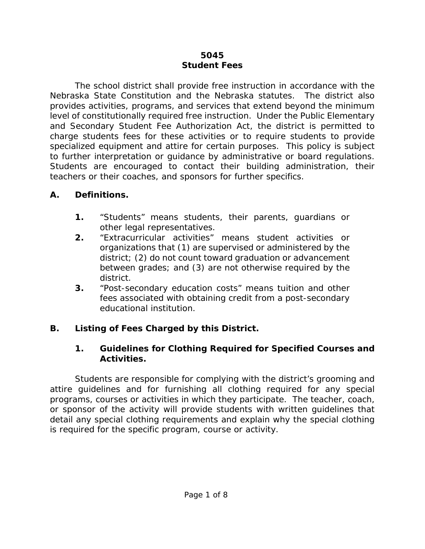#### **5045 Student Fees**

The school district shall provide free instruction in accordance with the Nebraska State Constitution and the Nebraska statutes. The district also provides activities, programs, and services that extend beyond the minimum level of constitutionally required free instruction. Under the Public Elementary and Secondary Student Fee Authorization Act, the district is permitted to charge students fees for these activities or to require students to provide specialized equipment and attire for certain purposes. This policy is subject to further interpretation or guidance by administrative or board regulations. Students are encouraged to contact their building administration, their teachers or their coaches, and sponsors for further specifics.

#### **A. Definitions.**

- **1.** "Students" means students, their parents, guardians or other legal representatives.
- **2.** "Extracurricular activities" means student activities or organizations that (1) are supervised or administered by the district; (2) do not count toward graduation or advancement between grades; and (3) are not otherwise required by the district.
- **3.** "Post-secondary education costs" means tuition and other fees associated with obtaining credit from a post-secondary educational institution.

### **B. Listing of Fees Charged by this District.**

#### **1. Guidelines for Clothing Required for Specified Courses and Activities.**

Students are responsible for complying with the district's grooming and attire guidelines and for furnishing all clothing required for any special programs, courses or activities in which they participate. The teacher, coach, or sponsor of the activity will provide students with written guidelines that detail any special clothing requirements and explain why the special clothing is required for the specific program, course or activity.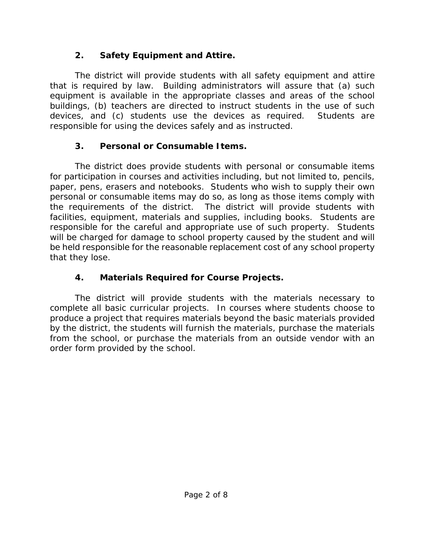## **2. Safety Equipment and Attire.**

The district will provide students with all safety equipment and attire that is required by law. Building administrators will assure that (a) such equipment is available in the appropriate classes and areas of the school buildings, (b) teachers are directed to instruct students in the use of such devices, and (c) students use the devices as required. Students are responsible for using the devices safely and as instructed.

# **3. Personal or Consumable Items.**

The district does provide students with personal or consumable items for participation in courses and activities including, but not limited to, pencils, paper, pens, erasers and notebooks. Students who wish to supply their own personal or consumable items may do so, as long as those items comply with the requirements of the district. The district will provide students with facilities, equipment, materials and supplies, including books. Students are responsible for the careful and appropriate use of such property. Students will be charged for damage to school property caused by the student and will be held responsible for the reasonable replacement cost of any school property that they lose.

# **4. Materials Required for Course Projects.**

The district will provide students with the materials necessary to complete all basic curricular projects. In courses where students choose to produce a project that requires materials beyond the basic materials provided by the district, the students will furnish the materials, purchase the materials from the school, or purchase the materials from an outside vendor with an order form provided by the school.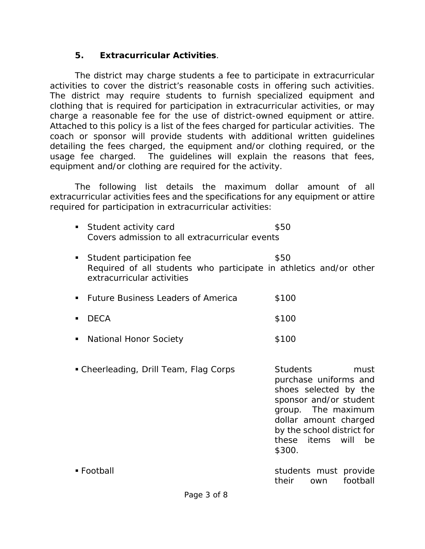#### **5. Extracurricular Activities**.

The district may charge students a fee to participate in extracurricular activities to cover the district's reasonable costs in offering such activities. The district may require students to furnish specialized equipment and clothing that is required for participation in extracurricular activities, or may charge a reasonable fee for the use of district-owned equipment or attire. Attached to this policy is a list of the fees charged for particular activities. The coach or sponsor will provide students with additional written guidelines detailing the fees charged, the equipment and/or clothing required, or the usage fee charged. The guidelines will explain the reasons that fees, equipment and/or clothing are required for the activity.

The following list details the maximum dollar amount of all extracurricular activities fees and the specifications for any equipment or attire required for participation in extracurricular activities:

- **Student activity card \$50** *Covers admission to all extracurricular events*
- **Student participation fee** \$50 *Required of all students who participate in athletics and/or other extracurricular activities*
- **Future Business Leaders of America** \$100  $\blacksquare$  DECA  $\blacksquare$   $\blacksquare$   $\blacksquare$   $\blacksquare$   $\blacksquare$   $\blacksquare$   $\blacksquare$   $\blacksquare$   $\blacksquare$   $\blacksquare$   $\blacksquare$   $\blacksquare$   $\blacksquare$   $\blacksquare$   $\blacksquare$   $\blacksquare$   $\blacksquare$   $\blacksquare$   $\blacksquare$   $\blacksquare$   $\blacksquare$   $\blacksquare$   $\blacksquare$   $\blacksquare$   $\blacksquare$   $\blacksquare$   $\blacksquare$   $\blacksquare$   $\blacksquare$   $\blacksquare$
- **National Honor Society 100 \$100**
- Cheerleading, Drill Team, Flag Corps Students must purchase uniforms and shoes selected by the sponsor and/or student group. The maximum dollar amount charged by the school district for these items will be \$300.
- Football students must provide their own football
-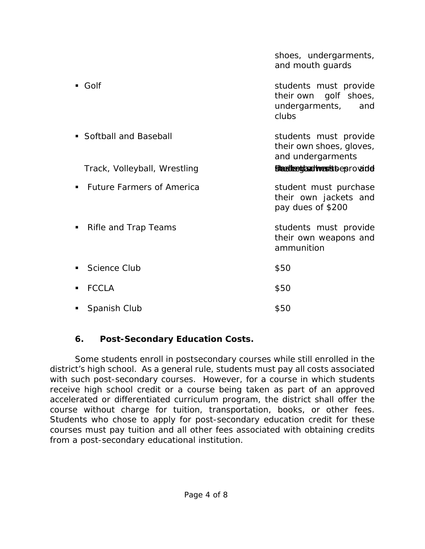|                                  | shoes, undergarments,<br>and mouth guards                                        |
|----------------------------------|----------------------------------------------------------------------------------|
| $\blacksquare$ Golf              | students must provide<br>their own golf shoes,<br>undergarments,<br>and<br>clubs |
| • Softball and Baseball          | students must provide<br>their own shoes, gloves,<br>and undergarments           |
| Track, Volleyball, Wrestling     | Blandkeddardtverstbbeprovade                                                     |
| <b>Future Farmers of America</b> | student must purchase<br>their own jackets and<br>pay dues of \$200              |
| Rifle and Trap Teams<br>п        | students must provide<br>their own weapons and<br>ammunition                     |
| Science Club                     | \$50                                                                             |
| <b>FCCLA</b>                     | \$50                                                                             |
| Spanish Club                     | \$50                                                                             |

### **6. Post-Secondary Education Costs.**

Some students enroll in postsecondary courses while still enrolled in the district's high school. As a general rule, students must pay all costs associated with such post-secondary courses. However, for a course in which students receive high school credit or a course being taken as part of an approved accelerated or differentiated curriculum program, the district shall offer the course without charge for tuition, transportation, books, or other fees. Students who chose to apply for post-secondary education credit for these courses must pay tuition and all other fees associated with obtaining credits from a post-secondary educational institution.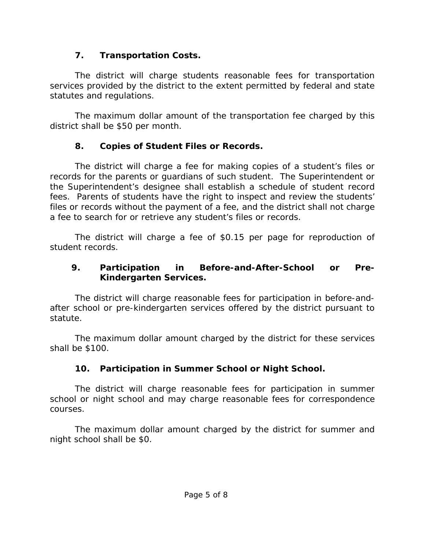## **7. Transportation Costs.**

The district will charge students reasonable fees for transportation services provided by the district to the extent permitted by federal and state statutes and regulations.

The maximum dollar amount of the transportation fee charged by this district shall be \$50 per month.

# **8. Copies of Student Files or Records.**

The district will charge a fee for making copies of a student's files or records for the parents or guardians of such student. The Superintendent or the Superintendent's designee shall establish a schedule of student record fees. Parents of students have the right to inspect and review the students' files or records without the payment of a fee, and the district shall not charge a fee to search for or retrieve any student's files or records.

The district will charge a fee of \$0.15 per page for reproduction of student records.

## **9. Participation in Before-and-After-School or Pre-Kindergarten Services.**

The district will charge reasonable fees for participation in before-andafter school or pre-kindergarten services offered by the district pursuant to statute.

The maximum dollar amount charged by the district for these services shall be \$100.

# **10. Participation in Summer School or Night School.**

 The district will charge reasonable fees for participation in summer school or night school and may charge reasonable fees for correspondence courses.

The maximum dollar amount charged by the district for summer and night school shall be \$0.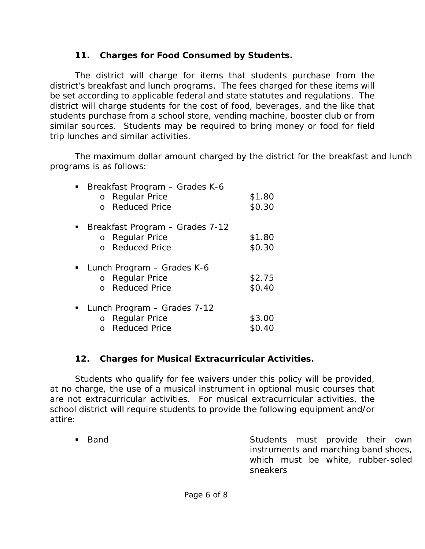### **11. Charges for Food Consumed by Students.**

The district will charge for items that students purchase from the district's breakfast and lunch programs. The fees charged for these items will be set according to applicable federal and state statutes and regulations. The district will charge students for the cost of food, beverages, and the like that students purchase from a school store, vending machine, booster club or from similar sources. Students may be required to bring money or food for field trip lunches and similar activities.

The maximum dollar amount charged by the district for the breakfast and lunch programs is as follows:

| Breakfast Program - Grades K-6  |        |
|---------------------------------|--------|
| <b>Regular Price</b><br>$\circ$ | \$1.80 |
| <b>Reduced Price</b>            | \$0.30 |
| Breakfast Program - Grades 7-12 |        |
| o Regular Price                 | \$1.80 |
| <b>Reduced Price</b>            | \$0.30 |
| Lunch Program – Grades K-6      |        |
| o Regular Price                 | \$2.75 |
| <b>Reduced Price</b>            | \$0.40 |
| Lunch Program - Grades 7-12     |        |
| o Regular Price                 | \$3.00 |
| <b>Reduced Price</b>            | \$0.40 |
|                                 |        |

### **12. Charges for Musical Extracurricular Activities.**

Students who qualify for fee waivers under this policy will be provided, at no charge, the use of a musical instrument in optional music courses that are not extracurricular activities. For musical extracurricular activities, the school district will require students to provide the following equipment and/or attire:

**Band Band Band Band Example 2018** Students must provide their own instruments and marching band shoes, which must be white, rubber-soled sneakers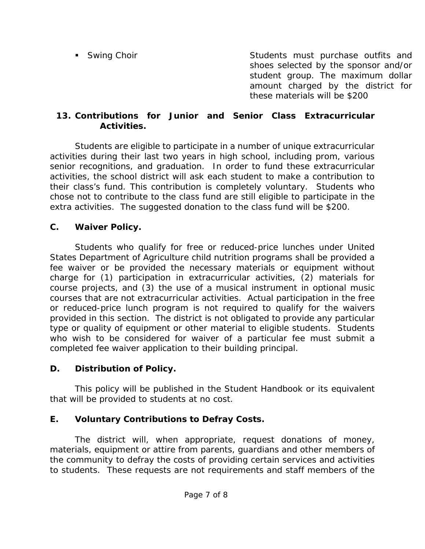**Similar Students must purchase outfits and** Students must purchase outfits and shoes selected by the sponsor and/or student group. The maximum dollar amount charged by the district for these materials will be \$200

#### **13. Contributions for Junior and Senior Class Extracurricular Activities.**

Students are eligible to participate in a number of unique extracurricular activities during their last two years in high school, including prom, various senior recognitions, and graduation. In order to fund these extracurricular activities, the school district will ask each student to make a contribution to their class's fund. This contribution is completely voluntary. Students who chose not to contribute to the class fund are still eligible to participate in the extra activities. The suggested donation to the class fund will be \$200.

### **C. Waiver Policy.**

Students who qualify for free or reduced-price lunches under United States Department of Agriculture child nutrition programs shall be provided a fee waiver or be provided the necessary materials or equipment without charge for (1) participation in extracurricular activities, (2) materials for course projects, and (3) the use of a musical instrument in optional music courses that are not extracurricular activities. Actual participation in the free or reduced-price lunch program is not required to qualify for the waivers provided in this section. The district is not obligated to provide any particular type or quality of equipment or other material to eligible students. Students who wish to be considered for waiver of a particular fee must submit a completed fee waiver application to their building principal.

## **D. Distribution of Policy.**

This policy will be published in the Student Handbook or its equivalent that will be provided to students at no cost.

## **E. Voluntary Contributions to Defray Costs.**

The district will, when appropriate, request donations of money, materials, equipment or attire from parents, guardians and other members of the community to defray the costs of providing certain services and activities to students. These requests are not requirements and staff members of the